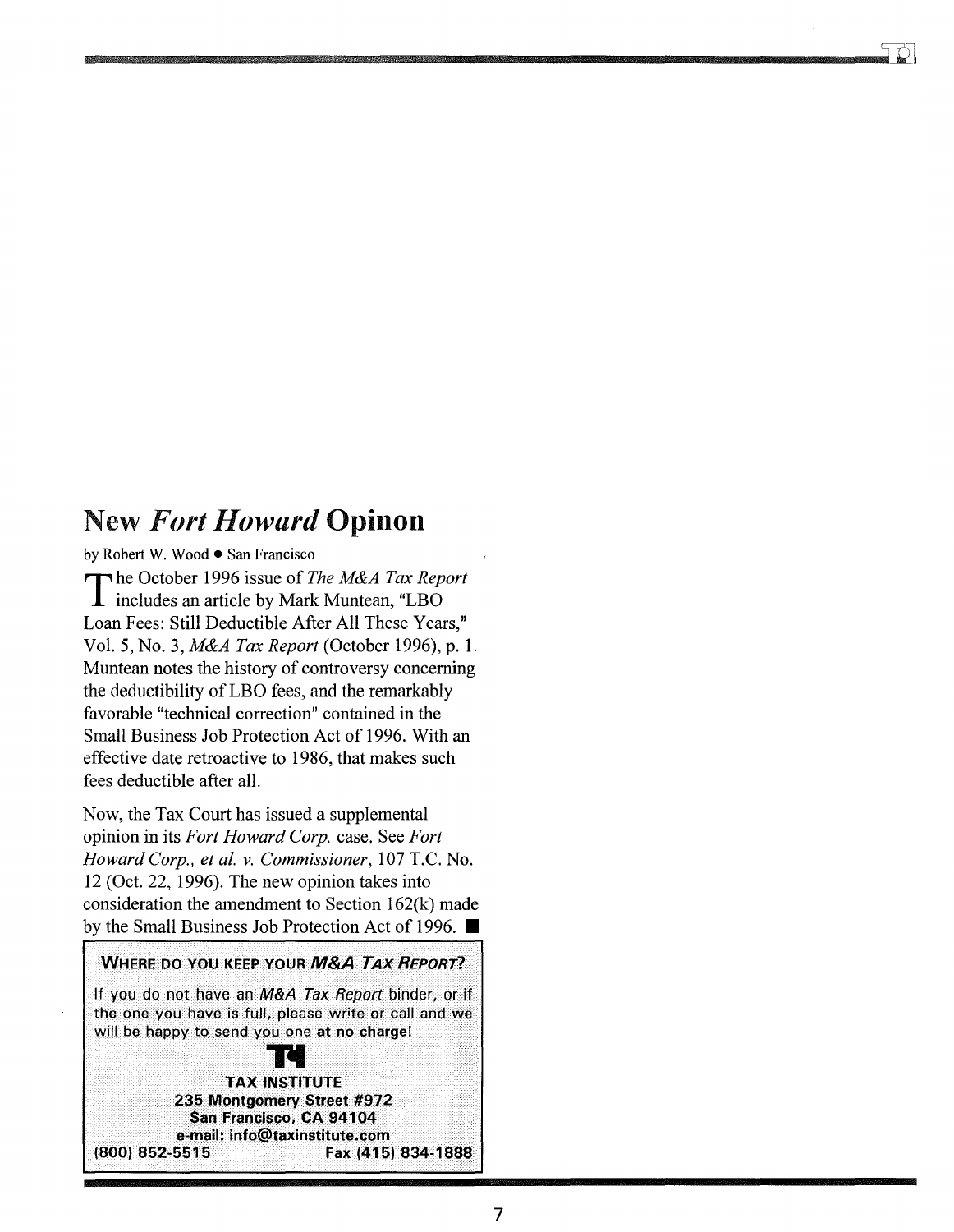## New *Fort Howard* Opinon

by Robert W. Wood • San Francisco

The October 1996 issue of *The M&A Tax Report* includes an article by Mark Muntean, "LBO Loan Fees: Still Deductible After All These Years," Vol. 5, No.3, *M&A Tax Report* (October 1996), p. 1. Muntean notes the history of controversy concerning the deductibility of LBO fees, and the remarkably favorable "technical correction" contained in the Small Business Job Protection Act of 1996. With an effective date retroactive to 1986, that makes such fees deductible after all.

Now, the Tax Court has issued a supplemental opinion in its *Fort Howard Corp.* case. See *Fort Howard Corp., et al. v. Commissioner,* 107 T.C. No. 12 (Oct. 22, 1996). The new opinion takes into consideration the amendment to Section 162(k) made by the Small Business Job Protection Act of 1996.